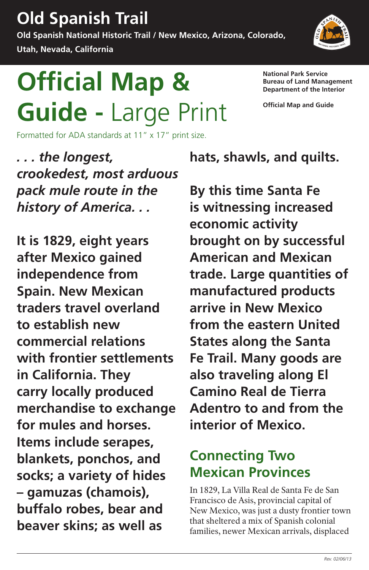# **Old Spanish Trail**

**Old Spanish National Historic Trail / New Mexico, Arizona, Colorado,** 

**Utah, Nevada, California** 

# **Official Map & National Park Service**<br>Department of the Interior Guide - Large Print <sup>official Map and Guide</sup>

Formatted for ADA standards at 11" x 17" print size.

**Department of the Interior** 

**It is 1829, eight years after Mexico gained independence from Spain. New Mexican traders travel overland to establish new commercial relations with frontier settlements in California. They carry locally produced merchandise to exchange for mules and horses. Items include serapes, blankets, ponchos, and socks; a variety of hides gamuzas (chamois),** In 1829, La Villa Real de Santa Fe de San Francisco de Asis, provincial capital of

*. . . the longest, crookedest, most arduous pack mule route in the history of America. . .* 

**hats, shawls, and quilts.** 

**By this time Santa Fe is witnessing increased economic activity brought on by successful American and Mexican trade. Large quantities of manufactured products arrive in New Mexico from the eastern United States along the Santa Fe Trail. Many goods are also traveling along El Camino Real de Tierra Adentro to and from the** 



#### **interior of Mexico.**

### **Connecting Two Mexican Provinces**

**buffalo robes, bear and** New Mexico, was just a dusty frontier town **beaver skins; as well as** that sheltered a mix of Spanish colonial families, newer Mexican arrivals, displaced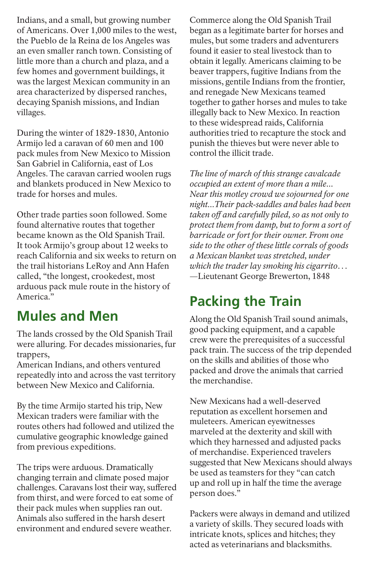Indians, and a small, but growing number of Americans. Over 1,000 miles to the west, the Pueblo de la Reina de los Angeles was an even smaller ranch town. Consisting of little more than a church and plaza, and a few homes and government buildings, it was the largest Mexican community in an area characterized by dispersed ranches, decaying Spanish missions, and Indian villages.

During the winter of 1829-1830, Antonio Armijo led a caravan of 60 men and 100 pack mules from New Mexico to Mission San Gabriel in California, east of Los Angeles. The caravan carried woolen rugs and blankets produced in New Mexico to trade for horses and mules.

Other trade parties soon followed. Some found alternative routes that together became known as the Old Spanish Trail. It took Armijo's group about 12 weeks to reach California and six weeks to return on the trail historians LeRoy and Ann Hafen called, "the longest, crookedest, most arduous pack mule route in the history of America."

### **Mules and Men**

The lands crossed by the Old Spanish Trail were alluring. For decades missionaries, fur trappers,

American Indians, and others ventured repeatedly into and across the vast territory between New Mexico and California.

By the time Armijo started his trip, New Mexican traders were familiar with the

routes others had followed and utilized the cumulative geographic knowledge gained from previous expeditions.

The trips were arduous. Dramatically changing terrain and climate posed major challenges. Caravans lost their way, suffered from thirst, and were forced to eat some of their pack mules when supplies ran out. Animals also suffered in the harsh desert environment and endured severe weather.

Commerce along the Old Spanish Trail began as a legitimate barter for horses and mules, but some traders and adventurers found it easier to steal livestock than to obtain it legally. Americans claiming to be beaver trappers, fugitive Indians from the missions, gentile Indians from the frontier, and renegade New Mexicans teamed together to gather horses and mules to take illegally back to New Mexico. In reaction to these widespread raids, California authorities tried to recapture the stock and punish the thieves but were never able to control the illicit trade.

*The line of march of this strange cavalcade occupied an extent of more than a mile... Near this motley crowd we sojourned for one night...Their pack-saddles and bales had been taken off and carefully piled, so as not only to protect them from damp, but to form a sort of barricade or fort for their owner. From one side to the other of these little corrals of goods a Mexican blanket was stretched, under which the trader lay smoking his cigarrito…*  —Lieutenant George Brewerton, 1848

### **Packing the Train**

Along the Old Spanish Trail sound animals, good packing equipment, and a capable crew were the prerequisites of a successful pack train. The success of the trip depended on the skills and abilities of those who packed and drove the animals that carried the merchandise.

New Mexicans had a well-deserved reputation as excellent horsemen and muleteers. American eyewitnesses marveled at the dexterity and skill with which they harnessed and adjusted packs of merchandise. Experienced travelers suggested that New Mexicans should always be used as teamsters for they "can catch up and roll up in half the time the average person does."

Packers were always in demand and utilized a variety of skills. They secured loads with intricate knots, splices and hitches; they acted as veterinarians and blacksmiths.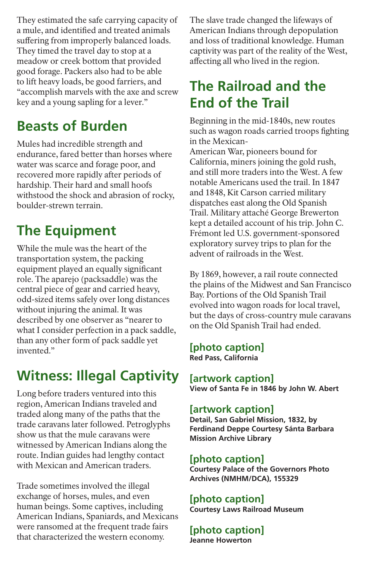They estimated the safe carrying capacity of a mule, and identified and treated animals suffering from improperly balanced loads. They timed the travel day to stop at a meadow or creek bottom that provided good forage. Packers also had to be able to lift heavy loads, be good farriers, and "accomplish marvels with the axe and screw key and a young sapling for a lever."

### **Beasts of Burden**

Mules had incredible strength and endurance, fared better than horses where water was scarce and forage poor, and recovered more rapidly after periods of hardship. Their hard and small hoofs withstood the shock and abrasion of rocky, boulder-strewn terrain.

### **The Equipment**

While the mule was the heart of the transportation system, the packing equipment played an equally significant role. The aparejo (packsaddle) was the central piece of gear and carried heavy, odd-sized items safely over long distances without injuring the animal. It was described by one observer as "nearer to what I consider perfection in a pack saddle, than any other form of pack saddle yet invented."

### **Witness: Illegal Captivity**

Long before traders ventured into this region, American Indians traveled and traded along many of the paths that the trade caravans later followed. Petroglyphs show us that the mule caravans were witnessed by American Indians along the route. Indian guides had lengthy contact with Mexican and American traders.

Trade sometimes involved the illegal exchange of horses, mules, and even human beings. Some captives, including American Indians, Spaniards, and Mexicans were ransomed at the frequent trade fairs that characterized the western economy.

The slave trade changed the lifeways of American Indians through depopulation and loss of traditional knowledge. Human captivity was part of the reality of the West, affecting all who lived in the region.

### **The Railroad and the End of the Trail**

Beginning in the mid-1840s, new routes such as wagon roads carried troops fighting in the Mexican-

American War, pioneers bound for California, miners joining the gold rush, and still more traders into the West. A few notable Americans used the trail. In 1847 and 1848, Kit Carson carried military dispatches east along the Old Spanish Trail. Military attaché George Brewerton kept a detailed account of his trip. John C. Frémont led U.S. government-sponsored exploratory survey trips to plan for the advent of railroads in the West.

By 1869, however, a rail route connected the plains of the Midwest and San Francisco Bay. Portions of the Old Spanish Trail evolved into wagon roads for local travel, but the days of cross-country mule caravans on the Old Spanish Trail had ended.

**[photo caption] Red Pass, California** 

**[artwork caption] View of Santa Fe in 1846 by John W. Abert** 

#### **[artwork caption]**

**Detail, San Gabriel Mission, 1832, by Ferdinand Deppe Courtesy Sánta Barbara Mission Archive Library** 

#### **[photo caption]**

**Courtesy Palace of the Governors Photo Archives (NMHM/DCA), 155329** 

#### **[photo caption] Courtesy Laws Railroad Museum**

**[photo caption] Jeanne Howerton**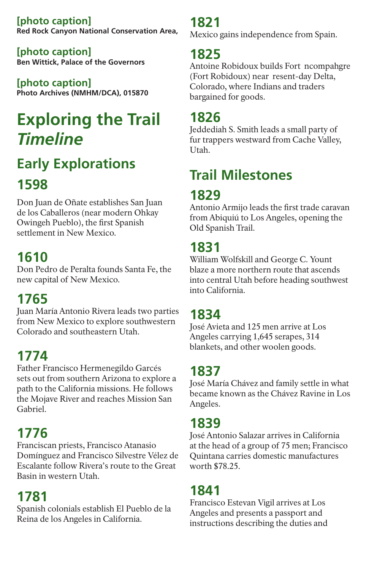**[photo caption] Red Rock Canyon National Conservation Area,** 

**[photo caption] Ben Wittick, Palace of the Governors** 

**[photo caption] Photo Archives (NMHM/DCA), 015870** 

# **Exploring the Trail**  *Timeline*

# **Early Explorations 1598**

Don Juan de Oñate establishes San Juan de los Caballeros (near modern Ohkay Owingeh Pueblo), the first Spanish settlement in New Mexico.

### **1610**

Don Pedro de Peralta founds Santa Fe, the new capital of New Mexico.

### **1765**

Juan María Antonio Rivera leads two parties from New Mexico to explore southwestern Colorado and southeastern Utah.

### **1774**

Father Francisco Hermenegildo Garcés sets out from southern Arizona to explore a path to the California missions. He follows the Mojave River and reaches Mission San Gabriel.

#### **1776**

Franciscan priests, Francisco Atanasio Domínguez and Francisco Silvestre Vélez de Escalante follow Rivera's route to the Great Basin in western Utah.

#### **1781**

Spanish colonials establish El Pueblo de la Reina de los Angeles in California.

**1821**  Mexico gains independence from Spain.

#### **1825**

Antoine Robidoux builds Fort ncompahgre (Fort Robidoux) near resent-day Delta, Colorado, where Indians and traders bargained for goods.

### **1826**

Jeddediah S. Smith leads a small party of fur trappers westward from Cache Valley, Utah.

## **Trail Milestones**

### **1829**

Antonio Armijo leads the first trade caravan from Abiquiú to Los Angeles, opening the Old Spanish Trail.

### **1831**

William Wolfskill and George C. Yount blaze a more northern route that ascends into central Utah before heading southwest into California.

#### **1834**

José Avieta and 125 men arrive at Los Angeles carrying 1,645 serapes, 314 blankets, and other woolen goods.

#### **1837**

José María Chávez and family settle in what became known as the Chávez Ravine in Los Angeles.

#### **1839**

José Antonio Salazar arrives in California at the head of a group of 75 men; Francisco Quintana carries domestic manufactures worth \$78.25.

#### **1841**

Francisco Estevan Vigil arrives at Los Angeles and presents a passport and instructions describing the duties and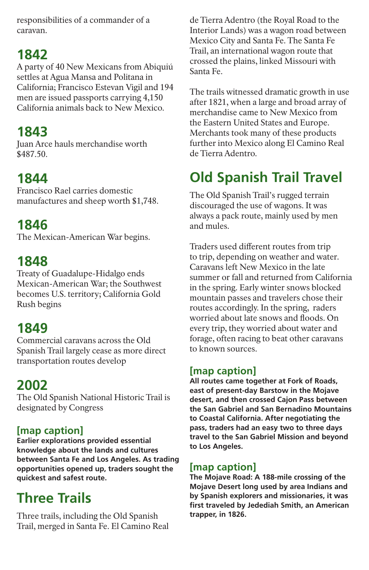responsibilities of a commander of a caravan.

#### **1842**

A party of 40 New Mexicans from Abiquiú settles at Agua Mansa and Politana in California; Francisco Estevan Vigil and 194 men are issued passports carrying 4,150 California animals back to New Mexico.

#### **1843**

Juan Arce hauls merchandise worth \$487.50.

#### **1844**

Francisco Rael carries domestic manufactures and sheep worth \$1,748.

#### **1846**

The Mexican-American War begins.

#### **1848**

Treaty of Guadalupe-Hidalgo ends Mexican-American War; the Southwest becomes U.S. territory; California Gold Rush begins

### **1849**

Commercial caravans across the Old Spanish Trail largely cease as more direct transportation routes develop

#### **2002**

The Old Spanish National Historic Trail is designated by Congress

#### **[map caption]**

**Earlier explorations provided essential knowledge about the lands and cultures between Santa Fe and Los Angeles. As trading opportunities opened up, traders sought the quickest and safest route.** 

#### **Three Trails**

Three trails, including the Old Spanish Trail, merged in Santa Fe. El Camino Real de Tierra Adentro (the Royal Road to the Interior Lands) was a wagon road between Mexico City and Santa Fe. The Santa Fe Trail, an international wagon route that crossed the plains, linked Missouri with Santa Fe.

The trails witnessed dramatic growth in use after 1821, when a large and broad array of merchandise came to New Mexico from the Eastern United States and Europe. Merchants took many of these products further into Mexico along El Camino Real de Tierra Adentro.

### **Old Spanish Trail Travel**

The Old Spanish Trail's rugged terrain discouraged the use of wagons. It was always a pack route, mainly used by men and mules.

Traders used different routes from trip to trip, depending on weather and water. Caravans left New Mexico in the late summer or fall and returned from California in the spring. Early winter snows blocked mountain passes and travelers chose their routes accordingly. In the spring, raders worried about late snows and floods. On every trip, they worried about water and forage, often racing to beat other caravans to known sources.

#### **[map caption]**

**All routes came together at Fork of Roads, east of present-day Barstow in the Mojave desert, and then crossed Cajon Pass between the San Gabriel and San Bernadino Mountains to Coastal California. After negotiating the pass, traders had an easy two to three days travel to the San Gabriel Mission and beyond to Los Angeles.** 

#### **[map caption]**

**The Mojave Road: A 188-mile crossing of the Mojave Desert long used by area Indians and by Spanish explorers and missionaries, it was first traveled by Jedediah Smith, an American trapper, in 1826.**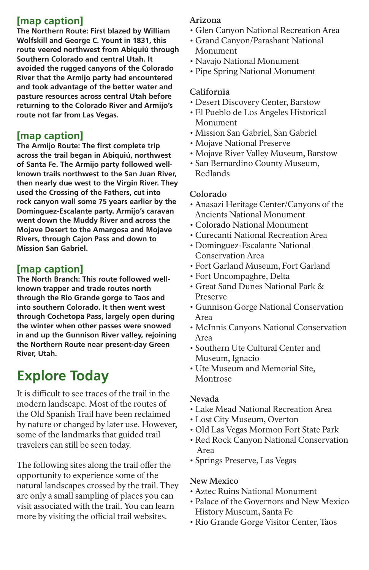#### **[map caption]**

**The Northern Route: First blazed by William Wolfskill and George C. Yount in 1831, this route veered northwest from Abiquiú through Southern Colorado and central Utah. It avoided the rugged canyons of the Colorado River that the Armijo party had encountered and took advantage of the better water and pasture resources across central Utah before returning to the Colorado River and Armijo's route not far from Las Vegas.** 

#### **[map caption]**

**The Armijo Route: The first complete trip across the trail began in Abiquiú, northwest of Santa Fe. The Armijo party followed wellknown trails northwest to the San Juan River, then nearly due west to the Virgin River. They used the Crossing of the Fathers, cut into rock canyon wall some 75 years earlier by the Domínguez-Escalante party. Armijo's caravan went down the Muddy River and across the Mojave Desert to the Amargosa and Mojave Rivers, through Cajon Pass and down to Mission San Gabriel.** 

#### **[map caption]**

**The North Branch: This route followed wellknown trapper and trade routes north through the Rio Grande gorge to Taos and into southern Colorado. It then went west through Cochetopa Pass, largely open during the winter when other passes were snowed in and up the Gunnison River valley, rejoining the Northern Route near present-day Green River, Utah.** 

### **Explore Today**

It is difficult to see traces of the trail in the modern landscape. Most of the routes of the Old Spanish Trail have been reclaimed by nature or changed by later use. However, some of the landmarks that guided trail travelers can still be seen today.

The following sites along the trail offer the opportunity to experience some of the natural landscapes crossed by the trail. They are only a small sampling of places you can visit associated with the trail. You can learn more by visiting the official trail websites.

#### **Arizona**

- Glen Canyon National Recreation Area
- Grand Canyon/Parashant National Monument
- Navajo National Monument
- Pipe Spring National Monument

#### **California**

- Desert Discovery Center, Barstow
- El Pueblo de Los Angeles Historical Monument
- Mission San Gabriel, San Gabriel
- Mojave National Preserve
- Mojave River Valley Museum, Barstow
- San Bernardino County Museum, Redlands

#### **Colorado**

- Anasazi Heritage Center/Canyons of the Ancients National Monument
- Colorado National Monument
- Curecanti National Recreation Area
- Dominguez-Escalante National Conservation Area
- Fort Garland Museum, Fort Garland
- Fort Uncompaghre, Delta
- Great Sand Dunes National Park & Preserve
- Gunnison Gorge National Conservation Area
- McInnis Canyons National Conservation Area
- Southern Ute Cultural Center and Museum, Ignacio
- Ute Museum and Memorial Site, Montrose

#### **Nevada**

- Lake Mead National Recreation Area
- Lost City Museum, Overton

- Old Las Vegas Mormon Fort State Park
- Red Rock Canyon National Conservation Area
- Springs Preserve, Las Vegas

#### **New Mexico**

- Aztec Ruins National Monument
- Palace of the Governors and New Mexico History Museum, Santa Fe
- Rio Grande Gorge Visitor Center, Taos